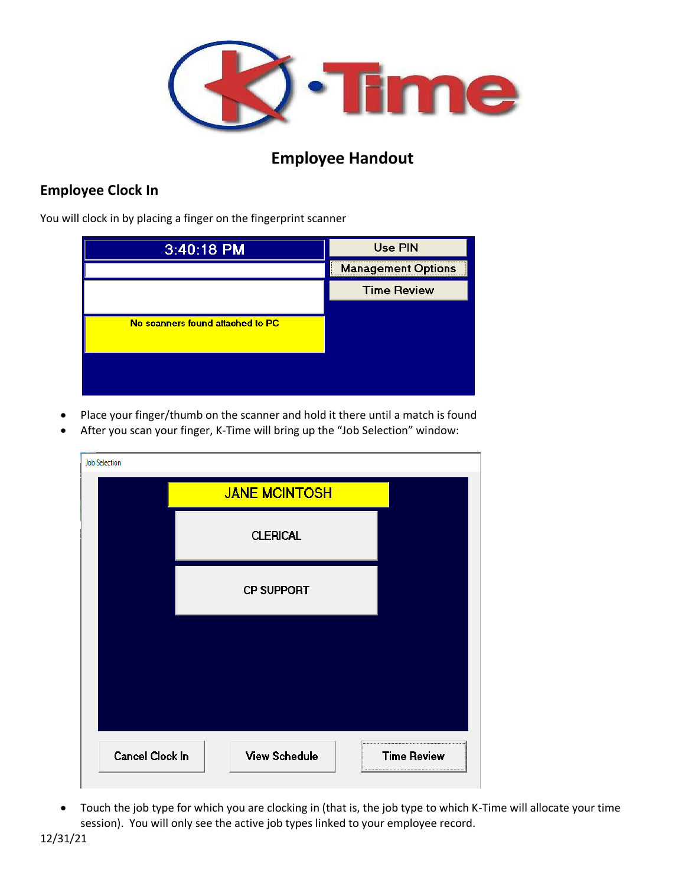

## **Employee Handout**

## **Employee Clock In**

You will clock in by placing a finger on the fingerprint scanner

| 3:40:18 PM                       | <b>Use PIN</b>            |
|----------------------------------|---------------------------|
|                                  | <b>Management Options</b> |
|                                  | <b>Time Review</b>        |
| No scanners found attached to PC |                           |
|                                  |                           |

- Place your finger/thumb on the scanner and hold it there until a match is found
- After you scan your finger, K-Time will bring up the "Job Selection" window:

| <b>Job Selection</b> |                      |                    |
|----------------------|----------------------|--------------------|
|                      | <b>JANE MCINTOSH</b> |                    |
|                      | <b>CLERICAL</b>      |                    |
|                      | <b>CP SUPPORT</b>    |                    |
|                      |                      |                    |
|                      |                      |                    |
| Cancel Clock In      | <b>View Schedule</b> | <b>Time Review</b> |

• Touch the job type for which you are clocking in (that is, the job type to which K-Time will allocate your time session). You will only see the active job types linked to your employee record.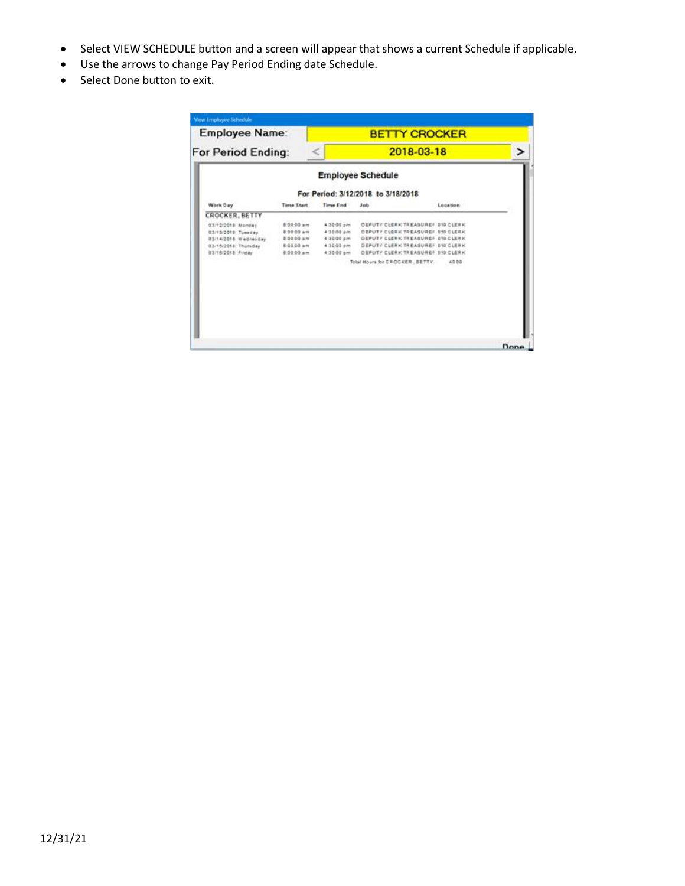- Select VIEW SCHEDULE button and a screen will appear that shows a current Schedule if applicable.
- Use the arrows to change Pay Period Ending date Schedule.
- Select Done button to exit.

| <b>Employee Name:</b><br><b>For Period Ending:</b> |            | <b>BETTY CROCKER</b> |                                    |          |      |  |
|----------------------------------------------------|------------|----------------------|------------------------------------|----------|------|--|
|                                                    |            | 2018-03-18           |                                    |          |      |  |
|                                                    |            |                      | <b>Employee Schedule</b>           |          |      |  |
|                                                    |            |                      | For Period: 3/12/2018 to 3/18/2018 |          |      |  |
| Work Day                                           | Time Start | Time End             | 3 <sub>0</sub>                     | Location |      |  |
| <b>CROCKER, BETTY</b>                              |            |                      |                                    |          |      |  |
| 03/12/2018 Monday                                  | 8.00-00 am | 4.30-00 pm           | OEPUTY CLERK TREASURER 010 CLERK   |          |      |  |
| 03/13/2018 Tuesday                                 | 80000 am   | 4.30.00 pm           | OEPUTY CLERK TREASUREF 010 CLERK   |          |      |  |
| 03/14/2018 Wadnesday                               | 8 00:00 am | 4.30.00 pm           | DEPUTY CLERK TREASUREF 010 CLERK   |          |      |  |
| 03/15/2018 Thursday                                | 8.00.00 am | 4:30:00 pm           | DEPUTY CLERK TREASUREF 010 CLERK   |          |      |  |
| 03/16/2013 Friday                                  | 8.00.00 am | 4:30:00 pm           | DEPUTY CLERK TREASUREF 010 CLERK   |          |      |  |
|                                                    |            |                      | Total Hours for CROCKER, BETTY.    | 40.00    |      |  |
|                                                    |            |                      |                                    |          |      |  |
|                                                    |            |                      |                                    |          |      |  |
|                                                    |            |                      |                                    |          | Done |  |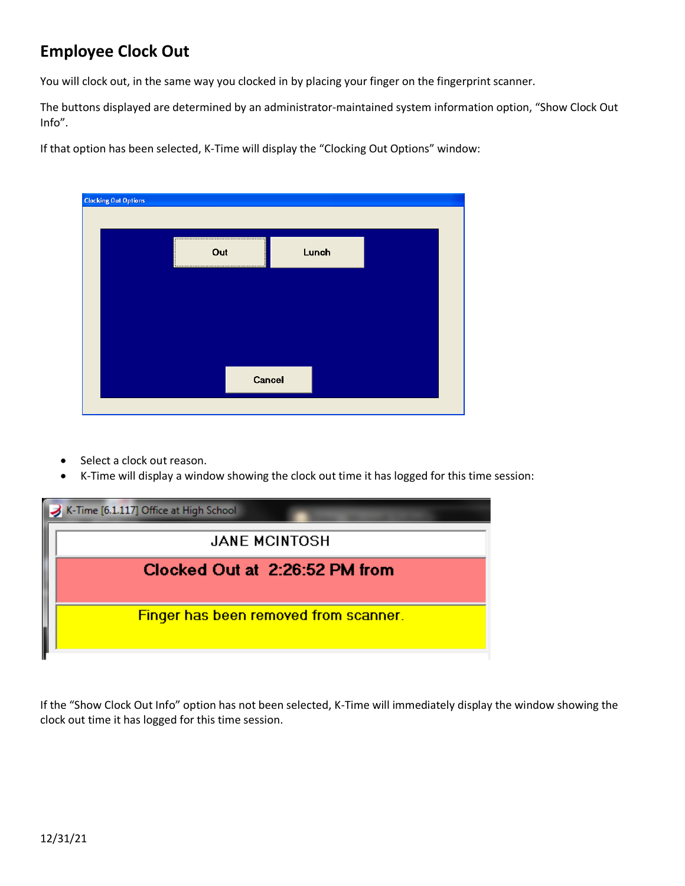## **Employee Clock Out**

You will clock out, in the same way you clocked in by placing your finger on the fingerprint scanner.

The buttons displayed are determined by an administrator-maintained system information option, "Show Clock Out Info".

If that option has been selected, K-Time will display the "Clocking Out Options" window:

| <b>Clocking Out Options</b> |        |       |  |
|-----------------------------|--------|-------|--|
|                             |        |       |  |
|                             | Out    | Lunch |  |
|                             |        |       |  |
|                             |        |       |  |
|                             |        |       |  |
|                             | Cancel |       |  |
|                             |        |       |  |

- Select a clock out reason.
- K-Time will display a window showing the clock out time it has logged for this time session:

| K-Time [6.1.117] Office at High School |
|----------------------------------------|
| <b>JANE MCINTOSH</b>                   |
| Clocked Out at 2:26:52 PM from         |
| Finger has been removed from scanner.  |
|                                        |

If the "Show Clock Out Info" option has not been selected, K-Time will immediately display the window showing the clock out time it has logged for this time session.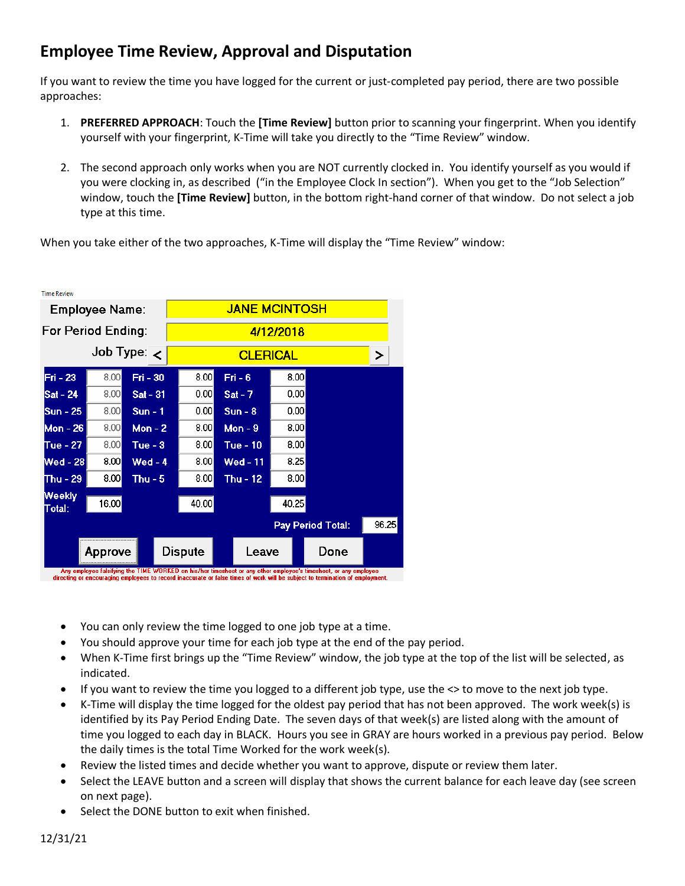## **Employee Time Review, Approval and Disputation**

If you want to review the time you have logged for the current or just-completed pay period, there are two possible approaches:

- 1. **PREFERRED APPROACH**: Touch the **[Time Review]** button prior to scanning your fingerprint. When you identify yourself with your fingerprint, K-Time will take you directly to the "Time Review" window.
- 2. The second approach only works when you are NOT currently clocked in. You identify yourself as you would if you were clocking in, as described ("in the Employee Clock In section"). When you get to the "Job Selection" window, touch the **[Time Review]** button, in the bottom right-hand corner of that window. Do not select a job type at this time.

When you take either of the two approaches, K-Time will display the "Time Review" window:

| <b>Time Review</b>     |         |            |                      |  |                 |       |                   |       |
|------------------------|---------|------------|----------------------|--|-----------------|-------|-------------------|-------|
| <b>Employee Name:</b>  |         |            | <b>JANE MCINTOSH</b> |  |                 |       |                   |       |
| For Period Ending:     |         |            | 4/12/2018            |  |                 |       |                   |       |
| Job Type: $\leftarrow$ |         |            | <b>CLERICAL</b>      |  |                 |       | >                 |       |
| Fri - 23               | 8.00    | Fri - 30   | 8.00                 |  | $Fit - 6$       | 8.00  |                   |       |
| Sat - 24               | 8.00    | $Sat - 31$ | 0.00                 |  | $Sat - 7$       | 0.00  |                   |       |
| $Sun - 25$             | 8.00    | $Sun - 1$  | 0.00                 |  | $Sun - 8$       | 0.00  |                   |       |
| Mon - 26               | 8.00    | Mon $-2$   | 8.00                 |  | Mon $-9$        | 8.00  |                   |       |
| Tue - 27               | 8.00    | Tue - $3$  | 8.00                 |  | Tue - 10        | 8.00  |                   |       |
| Wed - 28               | 8.00    | $Wed - 4$  | 8.00                 |  | <b>Wed - 11</b> | 8.25  |                   |       |
| Thu - $29$             | 8.00    | Thu - $5$  | 8.00                 |  | Thu - $12$      | 8.00  |                   |       |
| Weekly<br>Total:       | 16.00   |            | 40.00                |  |                 | 40.25 |                   |       |
|                        |         |            |                      |  |                 |       | Pay Period Total: | 96.25 |
|                        | Approve |            | <b>Dispute</b>       |  | Leave           |       | Done              |       |

Any employee falsifying the TIME WORKED on his/her timesheet or any other employee's timesheet, or any employee<br>directing or encouraging employees to record inaccurate or false times of work will be subject to termination

- You can only review the time logged to one job type at a time.
- You should approve your time for each job type at the end of the pay period.
- When K-Time first brings up the "Time Review" window, the job type at the top of the list will be selected, as indicated.
- If you want to review the time you logged to a different job type, use the <> to move to the next job type.
- K-Time will display the time logged for the oldest pay period that has not been approved. The work week(s) is identified by its Pay Period Ending Date. The seven days of that week(s) are listed along with the amount of time you logged to each day in BLACK. Hours you see in GRAY are hours worked in a previous pay period. Below the daily times is the total Time Worked for the work week(s).
- Review the listed times and decide whether you want to approve, dispute or review them later.
- Select the LEAVE button and a screen will display that shows the current balance for each leave day (see screen on next page).
- Select the DONE button to exit when finished.